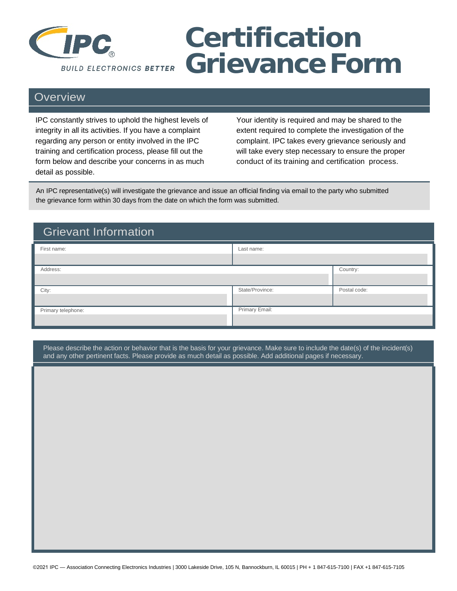

## **Certification Grievance Form**

## **Overview**

IPC constantly strives to uphold the highest levels of Your identity is required and may be shared to the integrity in all its activities. If you have a complaint extent required to complete the investigation of the regarding any person or entity involved in the IPC complaint. IPC takes every grievance seriously and training and certification process, please fill out the will take every step necessary to ensure the proper form below and describe your concerns in as much conduct of its training and certification process. detail as possible.

An IPC representative(s) will investigate the grievance and issue an official finding via email to the party who submitted the grievance form within 30 days from the date on which the form was submitted.

| <b>Grievant Information</b> |                 |              |  |
|-----------------------------|-----------------|--------------|--|
| First name:                 | Last name:      |              |  |
|                             |                 |              |  |
| Address:                    |                 | Country:     |  |
|                             |                 |              |  |
| City:                       | State/Province: | Postal code: |  |
|                             |                 |              |  |
| Primary telephone:          | Primary Email:  |              |  |
|                             |                 |              |  |

Please describe the action or behavior that is the basis for your grievance. Make sure to include the date(s) of the incident(s) and any other pertinent facts. Please provide as much detail as possible. Add additional pages if necessary.